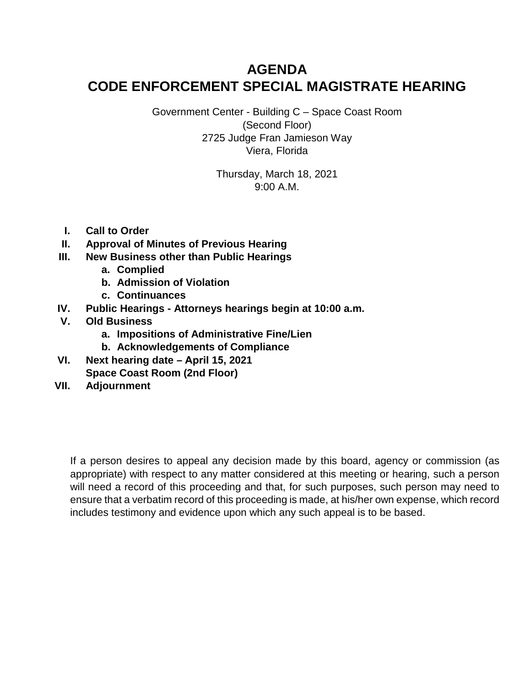# **AGENDA CODE ENFORCEMENT SPECIAL MAGISTRATE HEARING**

Government Center - Building C – Space Coast Room (Second Floor) 2725 Judge Fran Jamieson Way Viera, Florida

> Thursday, March 18, 2021 9:00 A.M.

- **I. Call to Order**
- **II. Approval of Minutes of Previous Hearing**
- **III. New Business other than Public Hearings**
	- **a. Complied**
	- **b. Admission of Violation**
	- **c. Continuances**
- **IV. Public Hearings Attorneys hearings begin at 10:00 a.m.**
- **V. Old Business**
	- **a. Impositions of Administrative Fine/Lien**
	- **b. Acknowledgements of Compliance**
- **VI. Next hearing date April 15, 2021 Space Coast Room (2nd Floor)**
- **VII. Adjournment**

If a person desires to appeal any decision made by this board, agency or commission (as appropriate) with respect to any matter considered at this meeting or hearing, such a person will need a record of this proceeding and that, for such purposes, such person may need to ensure that a verbatim record of this proceeding is made, at his/her own expense, which record includes testimony and evidence upon which any such appeal is to be based.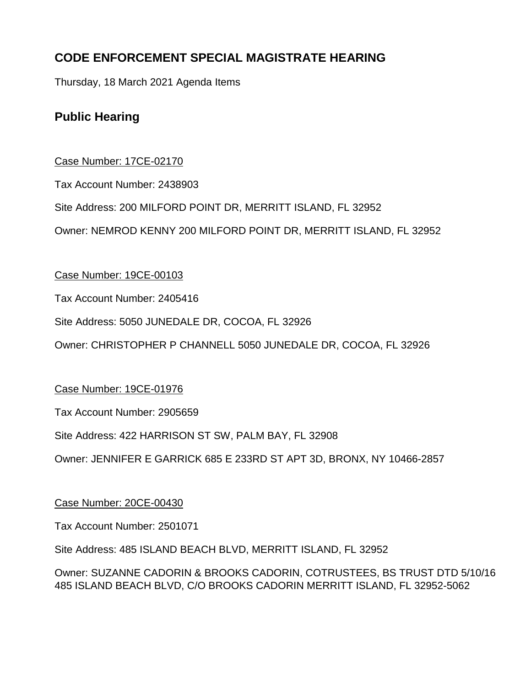# **CODE ENFORCEMENT SPECIAL MAGISTRATE HEARING**

Thursday, 18 March 2021 Agenda Items

# **Public Hearing**

# Case Number: 17CE-02170

Tax Account Number: 2438903

Site Address: 200 MILFORD POINT DR, MERRITT ISLAND, FL 32952

Owner: NEMROD KENNY 200 MILFORD POINT DR, MERRITT ISLAND, FL 32952

# Case Number: 19CE-00103

Tax Account Number: 2405416

Site Address: 5050 JUNEDALE DR, COCOA, FL 32926

Owner: CHRISTOPHER P CHANNELL 5050 JUNEDALE DR, COCOA, FL 32926

# Case Number: 19CE-01976

Tax Account Number: 2905659

Site Address: 422 HARRISON ST SW, PALM BAY, FL 32908

Owner: JENNIFER E GARRICK 685 E 233RD ST APT 3D, BRONX, NY 10466-2857

# Case Number: 20CE-00430

Tax Account Number: 2501071

Site Address: 485 ISLAND BEACH BLVD, MERRITT ISLAND, FL 32952

Owner: SUZANNE CADORIN & BROOKS CADORIN, COTRUSTEES, BS TRUST DTD 5/10/16 485 ISLAND BEACH BLVD, C/O BROOKS CADORIN MERRITT ISLAND, FL 32952-5062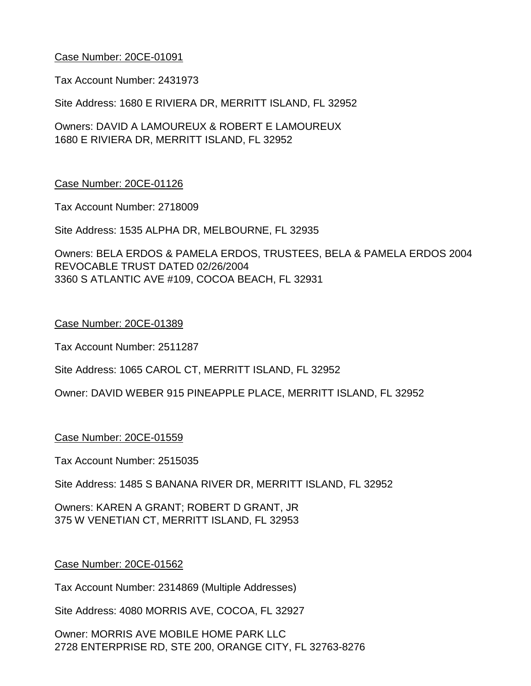Tax Account Number: 2431973

Site Address: 1680 E RIVIERA DR, MERRITT ISLAND, FL 32952

Owners: DAVID A LAMOUREUX & ROBERT E LAMOUREUX 1680 E RIVIERA DR, MERRITT ISLAND, FL 32952

#### Case Number: 20CE-01126

Tax Account Number: 2718009

Site Address: 1535 ALPHA DR, MELBOURNE, FL 32935

Owners: BELA ERDOS & PAMELA ERDOS, TRUSTEES, BELA & PAMELA ERDOS 2004 REVOCABLE TRUST DATED 02/26/2004 3360 S ATLANTIC AVE #109, COCOA BEACH, FL 32931

#### Case Number: 20CE-01389

Tax Account Number: 2511287

Site Address: 1065 CAROL CT, MERRITT ISLAND, FL 32952

Owner: DAVID WEBER 915 PINEAPPLE PLACE, MERRITT ISLAND, FL 32952

#### Case Number: 20CE-01559

Tax Account Number: 2515035

Site Address: 1485 S BANANA RIVER DR, MERRITT ISLAND, FL 32952

Owners: KAREN A GRANT; ROBERT D GRANT, JR 375 W VENETIAN CT, MERRITT ISLAND, FL 32953

#### Case Number: 20CE-01562

Tax Account Number: 2314869 (Multiple Addresses)

Site Address: 4080 MORRIS AVE, COCOA, FL 32927

Owner: MORRIS AVE MOBILE HOME PARK LLC 2728 ENTERPRISE RD, STE 200, ORANGE CITY, FL 32763-8276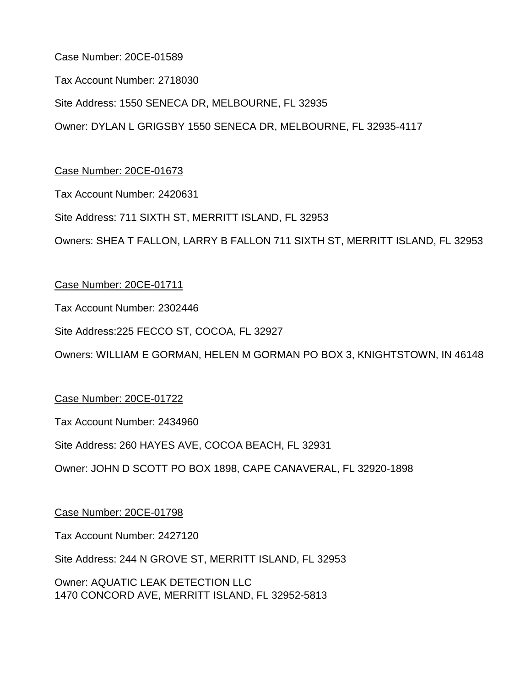Tax Account Number: 2718030

Site Address: 1550 SENECA DR, MELBOURNE, FL 32935

Owner: DYLAN L GRIGSBY 1550 SENECA DR, MELBOURNE, FL 32935-4117

## Case Number: 20CE-01673

Tax Account Number: 2420631

Site Address: 711 SIXTH ST, MERRITT ISLAND, FL 32953

Owners: SHEA T FALLON, LARRY B FALLON 711 SIXTH ST, MERRITT ISLAND, FL 32953

## Case Number: 20CE-01711

Tax Account Number: 2302446

Site Address:225 FECCO ST, COCOA, FL 32927

Owners: WILLIAM E GORMAN, HELEN M GORMAN PO BOX 3, KNIGHTSTOWN, IN 46148

## Case Number: 20CE-01722

Tax Account Number: 2434960

Site Address: 260 HAYES AVE, COCOA BEACH, FL 32931

Owner: JOHN D SCOTT PO BOX 1898, CAPE CANAVERAL, FL 32920-1898

## Case Number: 20CE-01798

Tax Account Number: 2427120

Site Address: 244 N GROVE ST, MERRITT ISLAND, FL 32953

Owner: AQUATIC LEAK DETECTION LLC 1470 CONCORD AVE, MERRITT ISLAND, FL 32952-5813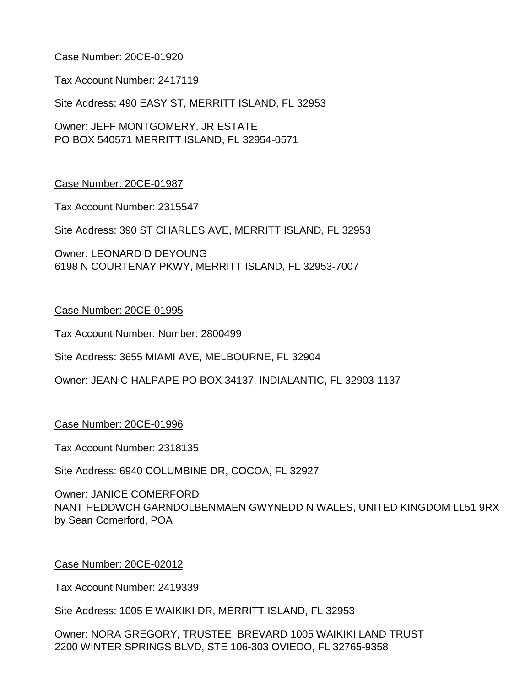Tax Account Number: 2417119

Site Address: 490 EASY ST, MERRITT ISLAND, FL 32953

Owner: JEFF MONTGOMERY, JR ESTATE PO BOX 540571 MERRITT ISLAND, FL 32954-0571

#### Case Number: 20CE-01987

Tax Account Number: 2315547

Site Address: 390 ST CHARLES AVE, MERRITT ISLAND, FL 32953

Owner: LEONARD D DEYOUNG 6198 N COURTENAY PKWY, MERRITT ISLAND, FL 32953-7007

#### Case Number: 20CE-01995

Tax Account Number: Number: 2800499

Site Address: 3655 MIAMI AVE, MELBOURNE, FL 32904

Owner: JEAN C HALPAPE PO BOX 34137, INDIALANTIC, FL 32903-1137

#### Case Number: 20CE-01996

Tax Account Number: 2318135

Site Address: 6940 COLUMBINE DR, COCOA, FL 32927

Owner: JANICE COMERFORD NANT HEDDWCH GARNDOLBENMAEN GWYNEDD N WALES, UNITED KINGDOM LL51 9RX by Sean Comerford, POA

#### Case Number: 20CE-02012

Tax Account Number: 2419339

Site Address: 1005 E WAIKIKI DR, MERRITT ISLAND, FL 32953

Owner: NORA GREGORY, TRUSTEE, BREVARD 1005 WAIKIKI LAND TRUST 2200 WINTER SPRINGS BLVD, STE 106-303 OVIEDO, FL 32765-9358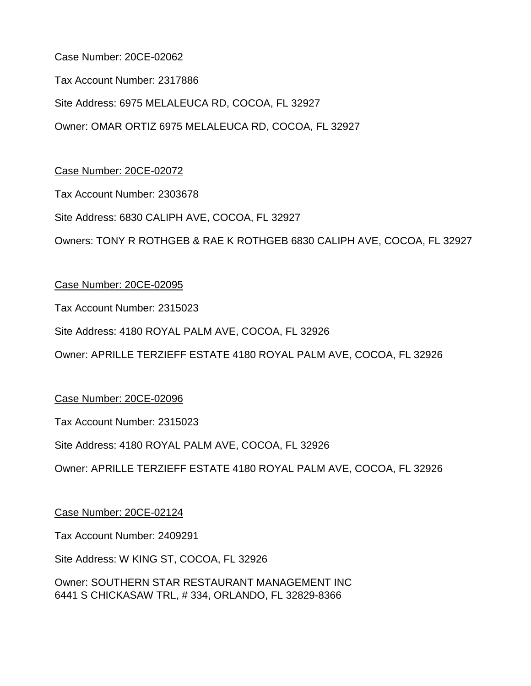Tax Account Number: 2317886

Site Address: 6975 MELALEUCA RD, COCOA, FL 32927 Owner: OMAR ORTIZ 6975 MELALEUCA RD, COCOA, FL 32927

Case Number: 20CE-02072

Tax Account Number: 2303678

Site Address: 6830 CALIPH AVE, COCOA, FL 32927

Owners: TONY R ROTHGEB & RAE K ROTHGEB 6830 CALIPH AVE, COCOA, FL 32927

## Case Number: 20CE-02095

Tax Account Number: 2315023

Site Address: 4180 ROYAL PALM AVE, COCOA, FL 32926

Owner: APRILLE TERZIEFF ESTATE 4180 ROYAL PALM AVE, COCOA, FL 32926

Case Number: 20CE-02096

Tax Account Number: 2315023

Site Address: 4180 ROYAL PALM AVE, COCOA, FL 32926

Owner: APRILLE TERZIEFF ESTATE 4180 ROYAL PALM AVE, COCOA, FL 32926

Case Number: 20CE-02124

Tax Account Number: 2409291

Site Address: W KING ST, COCOA, FL 32926

Owner: SOUTHERN STAR RESTAURANT MANAGEMENT INC 6441 S CHICKASAW TRL, # 334, ORLANDO, FL 32829-8366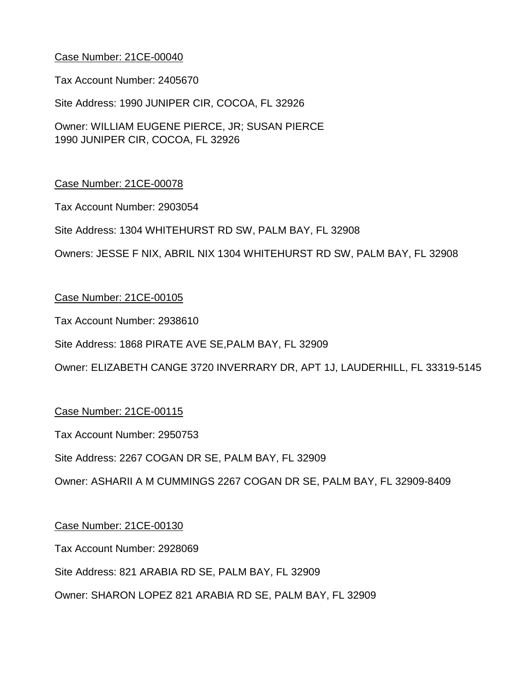Tax Account Number: 2405670

Site Address: 1990 JUNIPER CIR, COCOA, FL 32926

Owner: WILLIAM EUGENE PIERCE, JR; SUSAN PIERCE 1990 JUNIPER CIR, COCOA, FL 32926

## Case Number: 21CE-00078

Tax Account Number: 2903054

Site Address: 1304 WHITEHURST RD SW, PALM BAY, FL 32908

Owners: JESSE F NIX, ABRIL NIX 1304 WHITEHURST RD SW, PALM BAY, FL 32908

## Case Number: 21CE-00105

Tax Account Number: 2938610

Site Address: 1868 PIRATE AVE SE,PALM BAY, FL 32909

Owner: ELIZABETH CANGE 3720 INVERRARY DR, APT 1J, LAUDERHILL, FL 33319-5145

## Case Number: 21CE-00115

Tax Account Number: 2950753

Site Address: 2267 COGAN DR SE, PALM BAY, FL 32909

Owner: ASHARII A M CUMMINGS 2267 COGAN DR SE, PALM BAY, FL 32909-8409

#### Case Number: 21CE-00130

Tax Account Number: 2928069

Site Address: 821 ARABIA RD SE, PALM BAY, FL 32909

Owner: SHARON LOPEZ 821 ARABIA RD SE, PALM BAY, FL 32909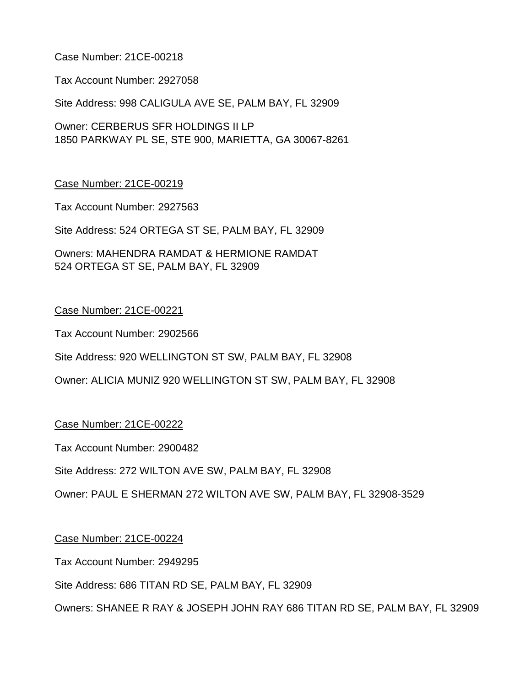Tax Account Number: 2927058

Site Address: 998 CALIGULA AVE SE, PALM BAY, FL 32909

Owner: CERBERUS SFR HOLDINGS II LP 1850 PARKWAY PL SE, STE 900, MARIETTA, GA 30067-8261

#### Case Number: 21CE-00219

Tax Account Number: 2927563

Site Address: 524 ORTEGA ST SE, PALM BAY, FL 32909

Owners: MAHENDRA RAMDAT & HERMIONE RAMDAT 524 ORTEGA ST SE, PALM BAY, FL 32909

## Case Number: 21CE-00221

Tax Account Number: 2902566

Site Address: 920 WELLINGTON ST SW, PALM BAY, FL 32908

Owner: ALICIA MUNIZ 920 WELLINGTON ST SW, PALM BAY, FL 32908

#### Case Number: 21CE-00222

Tax Account Number: 2900482

Site Address: 272 WILTON AVE SW, PALM BAY, FL 32908

Owner: PAUL E SHERMAN 272 WILTON AVE SW, PALM BAY, FL 32908-3529

#### Case Number: 21CE-00224

Tax Account Number: 2949295

Site Address: 686 TITAN RD SE, PALM BAY, FL 32909

Owners: SHANEE R RAY & JOSEPH JOHN RAY 686 TITAN RD SE, PALM BAY, FL 32909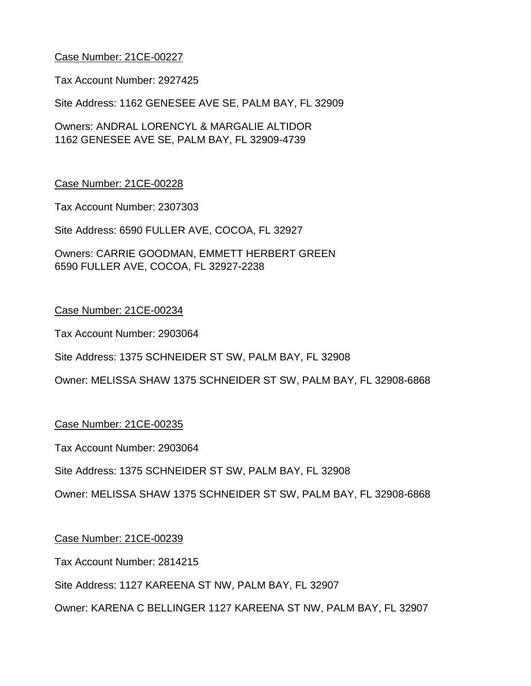Tax Account Number: 2927425

Site Address: 1162 GENESEE AVE SE, PALM BAY, FL 32909

Owners: ANDRAL LORENCYL & MARGALIE ALTIDOR 1162 GENESEE AVE SE, PALM BAY, FL 32909-4739

## Case Number: 21CE-00228

Tax Account Number: 2307303

Site Address: 6590 FULLER AVE, COCOA, FL 32927

Owners: CARRIE GOODMAN, EMMETT HERBERT GREEN 6590 FULLER AVE, COCOA, FL 32927-2238

## Case Number: 21CE-00234

Tax Account Number: 2903064

Site Address: 1375 SCHNEIDER ST SW, PALM BAY, FL 32908

Owner: MELISSA SHAW 1375 SCHNEIDER ST SW, PALM BAY, FL 32908-6868

## Case Number: 21CE-00235

Tax Account Number: 2903064

Site Address: 1375 SCHNEIDER ST SW, PALM BAY, FL 32908

Owner: MELISSA SHAW 1375 SCHNEIDER ST SW, PALM BAY, FL 32908-6868

## Case Number: 21CE-00239

Tax Account Number: 2814215

Site Address: 1127 KAREENA ST NW, PALM BAY, FL 32907

Owner: KARENA C BELLINGER 1127 KAREENA ST NW, PALM BAY, FL 32907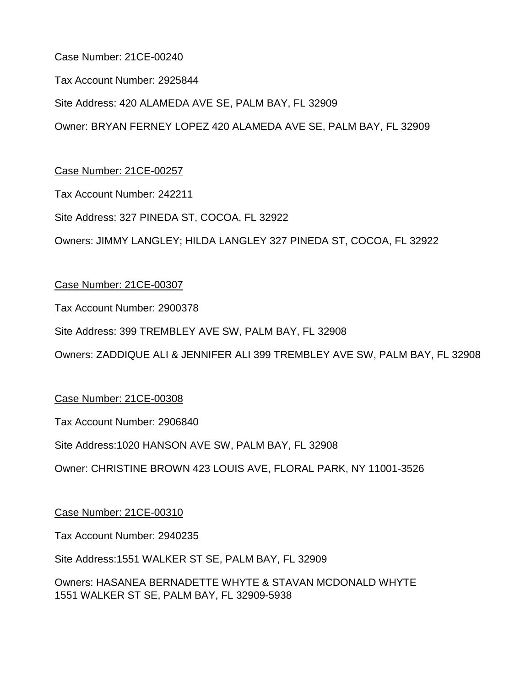Tax Account Number: 2925844

Site Address: 420 ALAMEDA AVE SE, PALM BAY, FL 32909

Owner: BRYAN FERNEY LOPEZ 420 ALAMEDA AVE SE, PALM BAY, FL 32909

Case Number: 21CE-00257

Tax Account Number: 242211

Site Address: 327 PINEDA ST, COCOA, FL 32922

Owners: JIMMY LANGLEY; HILDA LANGLEY 327 PINEDA ST, COCOA, FL 32922

## Case Number: 21CE-00307

Tax Account Number: 2900378

Site Address: 399 TREMBLEY AVE SW, PALM BAY, FL 32908

Owners: ZADDIQUE ALI & JENNIFER ALI 399 TREMBLEY AVE SW, PALM BAY, FL 32908

## Case Number: 21CE-00308

Tax Account Number: 2906840

Site Address:1020 HANSON AVE SW, PALM BAY, FL 32908

Owner: CHRISTINE BROWN 423 LOUIS AVE, FLORAL PARK, NY 11001-3526

## Case Number: 21CE-00310

Tax Account Number: 2940235

Site Address:1551 WALKER ST SE, PALM BAY, FL 32909

Owners: HASANEA BERNADETTE WHYTE & STAVAN MCDONALD WHYTE 1551 WALKER ST SE, PALM BAY, FL 32909-5938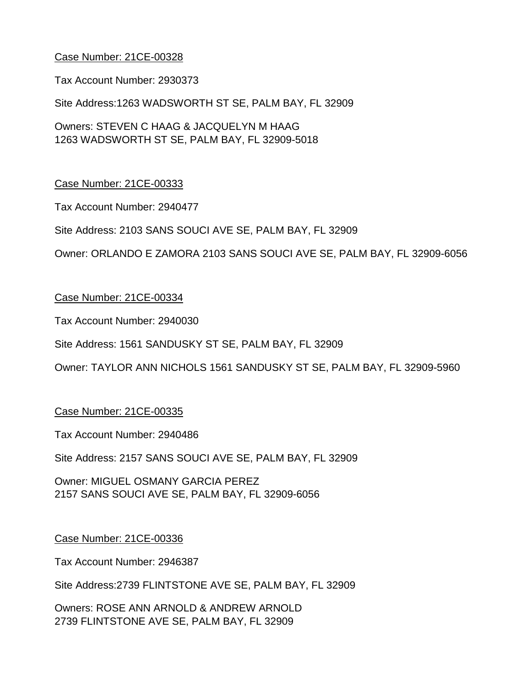Tax Account Number: 2930373

Site Address:1263 WADSWORTH ST SE, PALM BAY, FL 32909

Owners: STEVEN C HAAG & JACQUELYN M HAAG 1263 WADSWORTH ST SE, PALM BAY, FL 32909-5018

## Case Number: 21CE-00333

Tax Account Number: 2940477

Site Address: 2103 SANS SOUCI AVE SE, PALM BAY, FL 32909

Owner: ORLANDO E ZAMORA 2103 SANS SOUCI AVE SE, PALM BAY, FL 32909-6056

#### Case Number: 21CE-00334

Tax Account Number: 2940030

Site Address: 1561 SANDUSKY ST SE, PALM BAY, FL 32909

Owner: TAYLOR ANN NICHOLS 1561 SANDUSKY ST SE, PALM BAY, FL 32909-5960

#### Case Number: 21CE-00335

Tax Account Number: 2940486

Site Address: 2157 SANS SOUCI AVE SE, PALM BAY, FL 32909

Owner: MIGUEL OSMANY GARCIA PEREZ 2157 SANS SOUCI AVE SE, PALM BAY, FL 32909-6056

#### Case Number: 21CE-00336

Tax Account Number: 2946387

Site Address:2739 FLINTSTONE AVE SE, PALM BAY, FL 32909

Owners: ROSE ANN ARNOLD & ANDREW ARNOLD 2739 FLINTSTONE AVE SE, PALM BAY, FL 32909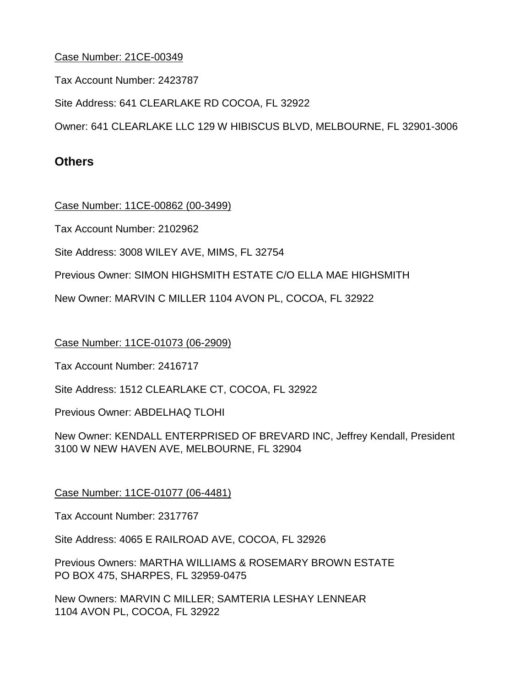Tax Account Number: 2423787

Site Address: 641 CLEARLAKE RD COCOA, FL 32922

Owner: 641 CLEARLAKE LLC 129 W HIBISCUS BLVD, MELBOURNE, FL 32901-3006

# **Others**

Case Number: 11CE-00862 (00-3499)

Tax Account Number: 2102962

Site Address: 3008 WILEY AVE, MIMS, FL 32754

Previous Owner: SIMON HIGHSMITH ESTATE C/O ELLA MAE HIGHSMITH

New Owner: MARVIN C MILLER 1104 AVON PL, COCOA, FL 32922

Case Number: 11CE-01073 (06-2909)

Tax Account Number: 2416717

Site Address: 1512 CLEARLAKE CT, COCOA, FL 32922

Previous Owner: ABDELHAQ TLOHI

New Owner: KENDALL ENTERPRISED OF BREVARD INC, Jeffrey Kendall, President 3100 W NEW HAVEN AVE, MELBOURNE, FL 32904

Case Number: 11CE-01077 (06-4481)

Tax Account Number: 2317767

Site Address: 4065 E RAILROAD AVE, COCOA, FL 32926

Previous Owners: MARTHA WILLIAMS & ROSEMARY BROWN ESTATE PO BOX 475, SHARPES, FL 32959-0475

New Owners: MARVIN C MILLER; SAMTERIA LESHAY LENNEAR 1104 AVON PL, COCOA, FL 32922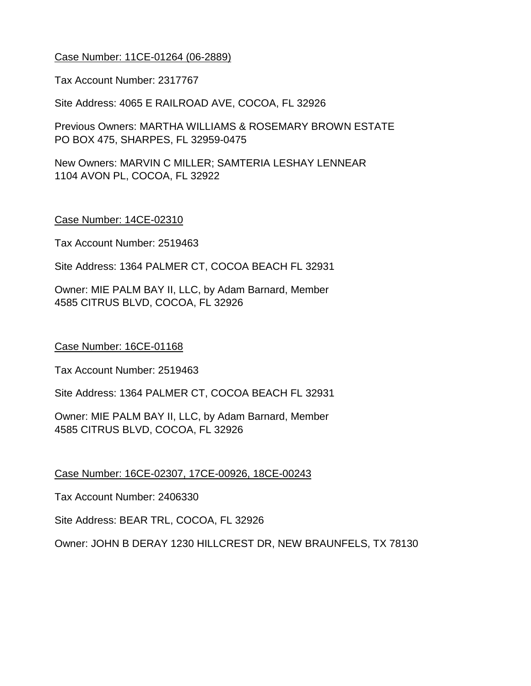## Case Number: 11CE-01264 (06-2889)

Tax Account Number: 2317767

Site Address: 4065 E RAILROAD AVE, COCOA, FL 32926

Previous Owners: MARTHA WILLIAMS & ROSEMARY BROWN ESTATE PO BOX 475, SHARPES, FL 32959-0475

New Owners: MARVIN C MILLER; SAMTERIA LESHAY LENNEAR 1104 AVON PL, COCOA, FL 32922

#### Case Number: 14CE-02310

Tax Account Number: 2519463

Site Address: 1364 PALMER CT, COCOA BEACH FL 32931

Owner: MIE PALM BAY II, LLC, by Adam Barnard, Member 4585 CITRUS BLVD, COCOA, FL 32926

Case Number: 16CE-01168

Tax Account Number: 2519463

Site Address: 1364 PALMER CT, COCOA BEACH FL 32931

Owner: MIE PALM BAY II, LLC, by Adam Barnard, Member 4585 CITRUS BLVD, COCOA, FL 32926

Case Number: 16CE-02307, 17CE-00926, 18CE-00243

Tax Account Number: 2406330

Site Address: BEAR TRL, COCOA, FL 32926

Owner: JOHN B DERAY 1230 HILLCREST DR, NEW BRAUNFELS, TX 78130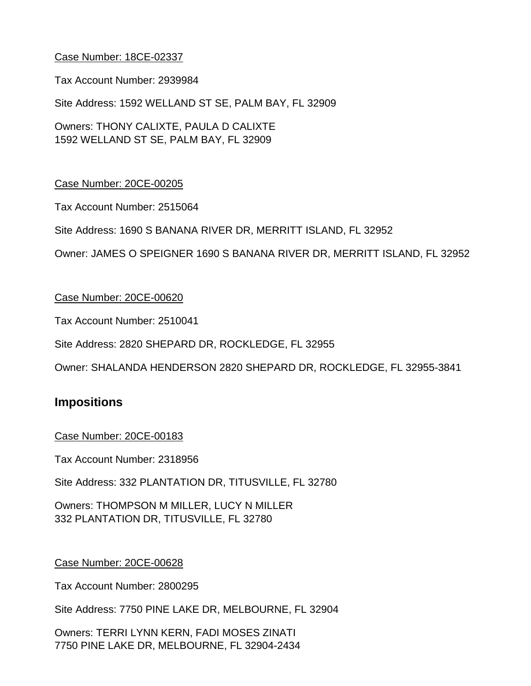Tax Account Number: 2939984

Site Address: 1592 WELLAND ST SE, PALM BAY, FL 32909

Owners: THONY CALIXTE, PAULA D CALIXTE 1592 WELLAND ST SE, PALM BAY, FL 32909

## Case Number: 20CE-00205

Tax Account Number: 2515064

Site Address: 1690 S BANANA RIVER DR, MERRITT ISLAND, FL 32952

Owner: JAMES O SPEIGNER 1690 S BANANA RIVER DR, MERRITT ISLAND, FL 32952

#### Case Number: 20CE-00620

Tax Account Number: 2510041

Site Address: 2820 SHEPARD DR, ROCKLEDGE, FL 32955

Owner: SHALANDA HENDERSON 2820 SHEPARD DR, ROCKLEDGE, FL 32955-3841

# **Impositions**

#### Case Number: 20CE-00183

Tax Account Number: 2318956

Site Address: 332 PLANTATION DR, TITUSVILLE, FL 32780

Owners: THOMPSON M MILLER, LUCY N MILLER 332 PLANTATION DR, TITUSVILLE, FL 32780

#### Case Number: 20CE-00628

Tax Account Number: 2800295

Site Address: 7750 PINE LAKE DR, MELBOURNE, FL 32904

Owners: TERRI LYNN KERN, FADI MOSES ZINATI 7750 PINE LAKE DR, MELBOURNE, FL 32904-2434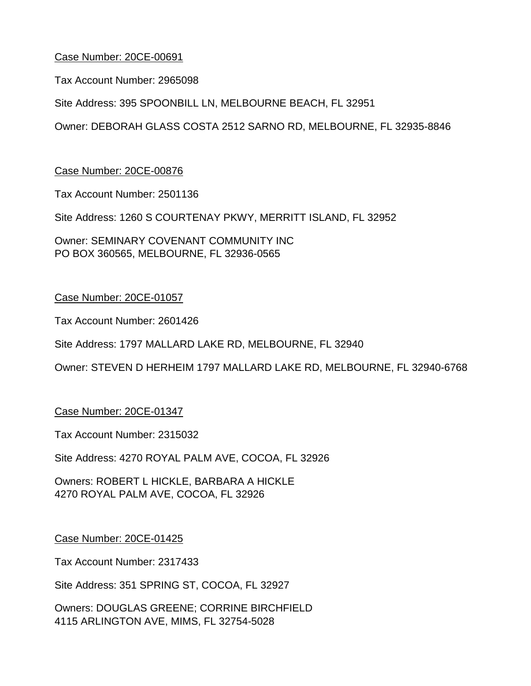Tax Account Number: 2965098

Site Address: 395 SPOONBILL LN, MELBOURNE BEACH, FL 32951

Owner: DEBORAH GLASS COSTA 2512 SARNO RD, MELBOURNE, FL 32935-8846

#### Case Number: 20CE-00876

Tax Account Number: 2501136

Site Address: 1260 S COURTENAY PKWY, MERRITT ISLAND, FL 32952

Owner: SEMINARY COVENANT COMMUNITY INC PO BOX 360565, MELBOURNE, FL 32936-0565

#### Case Number: 20CE-01057

Tax Account Number: 2601426

Site Address: 1797 MALLARD LAKE RD, MELBOURNE, FL 32940

Owner: STEVEN D HERHEIM 1797 MALLARD LAKE RD, MELBOURNE, FL 32940-6768

#### Case Number: 20CE-01347

Tax Account Number: 2315032

Site Address: 4270 ROYAL PALM AVE, COCOA, FL 32926

Owners: ROBERT L HICKLE, BARBARA A HICKLE 4270 ROYAL PALM AVE, COCOA, FL 32926

#### Case Number: 20CE-01425

Tax Account Number: 2317433

Site Address: 351 SPRING ST, COCOA, FL 32927

Owners: DOUGLAS GREENE; CORRINE BIRCHFIELD 4115 ARLINGTON AVE, MIMS, FL 32754-5028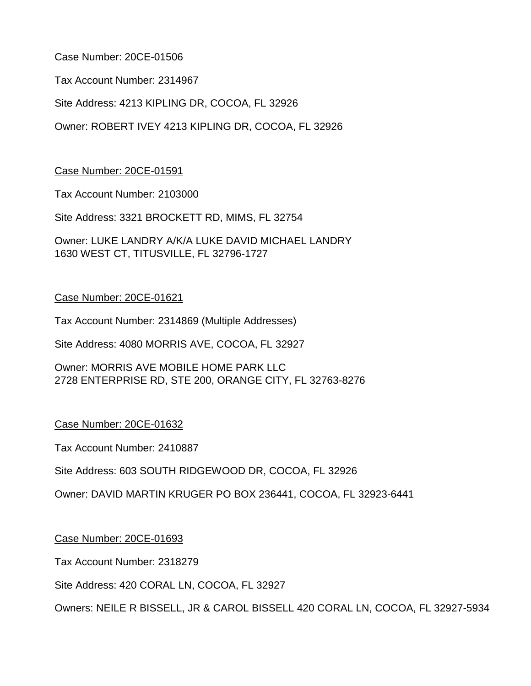Tax Account Number: 2314967

Site Address: 4213 KIPLING DR, COCOA, FL 32926

Owner: ROBERT IVEY 4213 KIPLING DR, COCOA, FL 32926

Case Number: 20CE-01591

Tax Account Number: 2103000

Site Address: 3321 BROCKETT RD, MIMS, FL 32754

Owner: LUKE LANDRY A/K/A LUKE DAVID MICHAEL LANDRY 1630 WEST CT, TITUSVILLE, FL 32796-1727

## Case Number: 20CE-01621

Tax Account Number: 2314869 (Multiple Addresses)

Site Address: 4080 MORRIS AVE, COCOA, FL 32927

Owner: MORRIS AVE MOBILE HOME PARK LLC 2728 ENTERPRISE RD, STE 200, ORANGE CITY, FL 32763-8276

## Case Number: 20CE-01632

Tax Account Number: 2410887

Site Address: 603 SOUTH RIDGEWOOD DR, COCOA, FL 32926

Owner: DAVID MARTIN KRUGER PO BOX 236441, COCOA, FL 32923-6441

## Case Number: 20CE-01693

Tax Account Number: 2318279

Site Address: 420 CORAL LN, COCOA, FL 32927

Owners: NEILE R BISSELL, JR & CAROL BISSELL 420 CORAL LN, COCOA, FL 32927-5934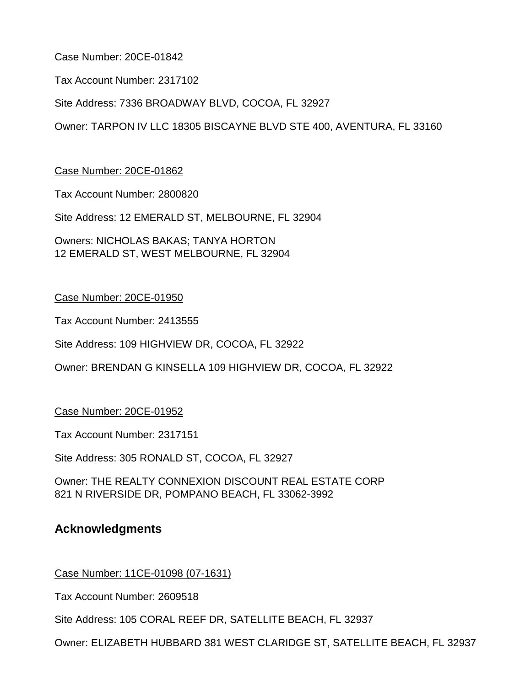Tax Account Number: 2317102

Site Address: 7336 BROADWAY BLVD, COCOA, FL 32927

Owner: TARPON IV LLC 18305 BISCAYNE BLVD STE 400, AVENTURA, FL 33160

Case Number: 20CE-01862

Tax Account Number: 2800820

Site Address: 12 EMERALD ST, MELBOURNE, FL 32904

Owners: NICHOLAS BAKAS; TANYA HORTON 12 EMERALD ST, WEST MELBOURNE, FL 32904

Case Number: 20CE-01950

Tax Account Number: 2413555

Site Address: 109 HIGHVIEW DR, COCOA, FL 32922

Owner: BRENDAN G KINSELLA 109 HIGHVIEW DR, COCOA, FL 32922

Case Number: 20CE-01952

Tax Account Number: 2317151

Site Address: 305 RONALD ST, COCOA, FL 32927

Owner: THE REALTY CONNEXION DISCOUNT REAL ESTATE CORP 821 N RIVERSIDE DR, POMPANO BEACH, FL 33062-3992

# **Acknowledgments**

Case Number: 11CE-01098 (07-1631)

Tax Account Number: 2609518

Site Address: 105 CORAL REEF DR, SATELLITE BEACH, FL 32937

Owner: ELIZABETH HUBBARD 381 WEST CLARIDGE ST, SATELLITE BEACH, FL 32937